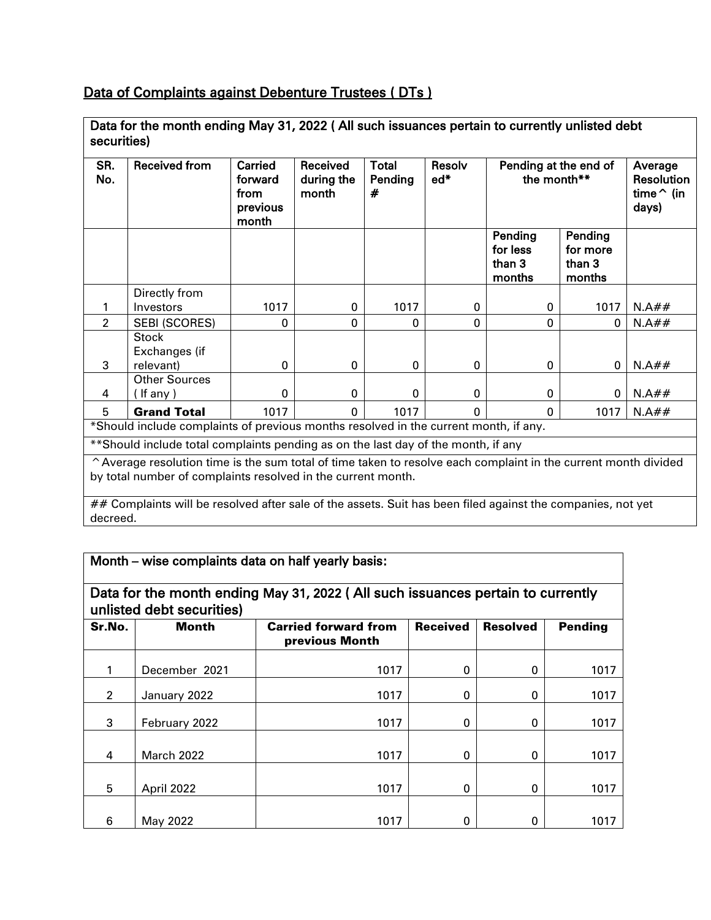## Data of Complaints against Debenture Trustees ( DTs )

| securities)                                                                                                             |                                            |                                                 |                                 |                              |                 |                                         |                                         |                                                            |
|-------------------------------------------------------------------------------------------------------------------------|--------------------------------------------|-------------------------------------------------|---------------------------------|------------------------------|-----------------|-----------------------------------------|-----------------------------------------|------------------------------------------------------------|
| SR.<br>No.                                                                                                              | <b>Received from</b>                       | Carried<br>forward<br>from<br>previous<br>month | Received<br>during the<br>month | <b>Total</b><br>Pending<br># | Resolv<br>$ed*$ | Pending at the end of<br>the month**    |                                         | Average<br><b>Resolution</b><br>time $\hat{}$ (in<br>days) |
|                                                                                                                         |                                            |                                                 |                                 |                              |                 | Pending<br>for less<br>than 3<br>months | Pending<br>for more<br>than 3<br>months |                                                            |
|                                                                                                                         | Directly from                              |                                                 |                                 |                              |                 |                                         |                                         |                                                            |
| 1                                                                                                                       | Investors                                  | 1017                                            | 0                               | 1017                         | 0               | 0                                       | 1017                                    | N.A##                                                      |
| $\overline{2}$                                                                                                          | <b>SEBI (SCORES)</b>                       | $\Omega$                                        | $\Omega$                        | $\mathbf{0}$                 | $\Omega$        | $\Omega$                                | O.                                      | N.A##                                                      |
| 3                                                                                                                       | <b>Stock</b><br>Exchanges (if<br>relevant) | $\mathbf{0}$                                    | $\mathbf{0}$                    | $\mathbf{0}$                 | $\mathbf{0}$    | $\Omega$                                | 0                                       | N.A##                                                      |
|                                                                                                                         | <b>Other Sources</b>                       |                                                 |                                 |                              |                 |                                         |                                         |                                                            |
| 4                                                                                                                       | If any $)$                                 | $\Omega$                                        | $\Omega$                        | $\Omega$                     | $\Omega$        | $\Omega$                                | $\Omega$                                | N.A##                                                      |
| 5                                                                                                                       | <b>Grand Total</b>                         | 1017                                            | $\Omega$                        | 1017                         | $\Omega$        | $\Omega$                                | 1017                                    | N.A##                                                      |
| *Should include complaints of previous months resolved in the current month, if any.                                    |                                            |                                                 |                                 |                              |                 |                                         |                                         |                                                            |
| **Should include total complaints pending as on the last day of the month, if any                                       |                                            |                                                 |                                 |                              |                 |                                         |                                         |                                                            |
| $\hat{ }$ Average resolution time is the sum total of time taken to resolve each complaint in the current month divided |                                            |                                                 |                                 |                              |                 |                                         |                                         |                                                            |

Data for the month ending May 31, 2022 ( All such issuances pertain to currently unlisted debt

^Average resolution time is the sum total of time taken to resolve each complaint in the current month divided by total number of complaints resolved in the current month.

## Complaints will be resolved after sale of the assets. Suit has been filed against the companies, not yet decreed.

| Month - wise complaints data on half yearly basis:                                                           |                   |                                               |                 |                 |         |  |  |
|--------------------------------------------------------------------------------------------------------------|-------------------|-----------------------------------------------|-----------------|-----------------|---------|--|--|
| Data for the month ending May 31, 2022 (All such issuances pertain to currently<br>unlisted debt securities) |                   |                                               |                 |                 |         |  |  |
| Sr.No.                                                                                                       | <b>Month</b>      | <b>Carried forward from</b><br>previous Month | <b>Received</b> | <b>Resolved</b> | Pending |  |  |
|                                                                                                              | December 2021     | 1017                                          | 0               | 0               | 1017    |  |  |
| $\overline{2}$                                                                                               | January 2022      | 1017                                          | $\mathbf 0$     | $\Omega$        | 1017    |  |  |
| 3                                                                                                            | February 2022     | 1017                                          | 0               | $\Omega$        | 1017    |  |  |
| 4                                                                                                            | <b>March 2022</b> | 1017                                          | $\Omega$        | $\Omega$        | 1017    |  |  |
| 5                                                                                                            | April 2022        | 1017                                          | $\Omega$        | 0               | 1017    |  |  |
| 6                                                                                                            | May 2022          | 1017                                          | 0               | 0               | 1017    |  |  |